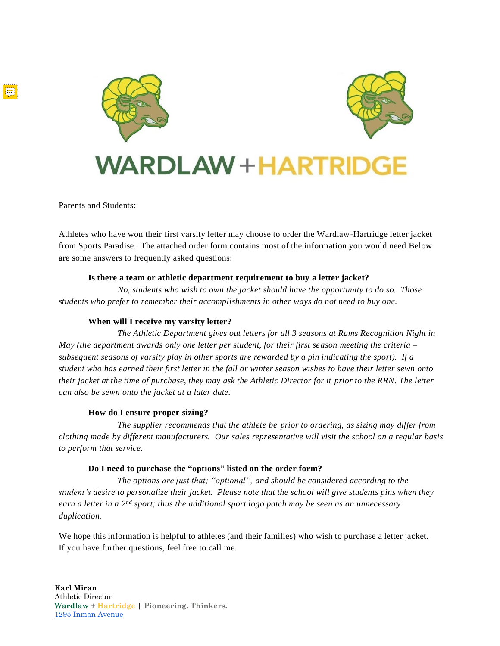



# **VARDLAW+HARTRID**

Parents and Students:

Athletes who have won their first varsity letter may choose to order the Wardlaw-Hartridge letter jacket from Sports Paradise. The attached order form contains most of the information you would need.Below are some answers to frequently asked questions:

# **Is there a team or athletic department requirement to buy a letter jacket?**

*No, students who wish to own the jacket should have the opportunity to do so. Those students who prefer to remember their accomplishments in other ways do not need to buy one.*

# **When will I receive my varsity letter?**

*The Athletic Department gives out letters for all 3 seasons at Rams Recognition Night in May (the department awards only one letter per student, for their first season meeting the criteria – subsequent seasons of varsity play in other sports are rewarded by a pin indicating the sport). If a student who has earned their first letter in the fall or winter season wishes to have their letter sewn onto their jacket at the time of purchase, they may ask the Athletic Director for it prior to the RRN. The letter can also be sewn onto the jacket at a later date.*

### **How do I ensure proper sizing?**

*The supplier recommends that the athlete be prior to ordering, as sizing may differ from clothing made by different manufacturers. Our sales representative will visit the school on a regular basis to perform that service.* 

### **Do I need to purchase the "options" listed on the order form?**

*The options are just that; "optional", and should be considered according to the* student's desire to personalize their jacket. Please note that the school will give students pins when they *earn a letter in a 2nd sport; thus the additional sport logo patch may be seen as an unnecessary duplication.*

We hope this information is helpful to athletes (and their families) who wish to purchase a letter jacket. If you have further questions, feel free to call me.